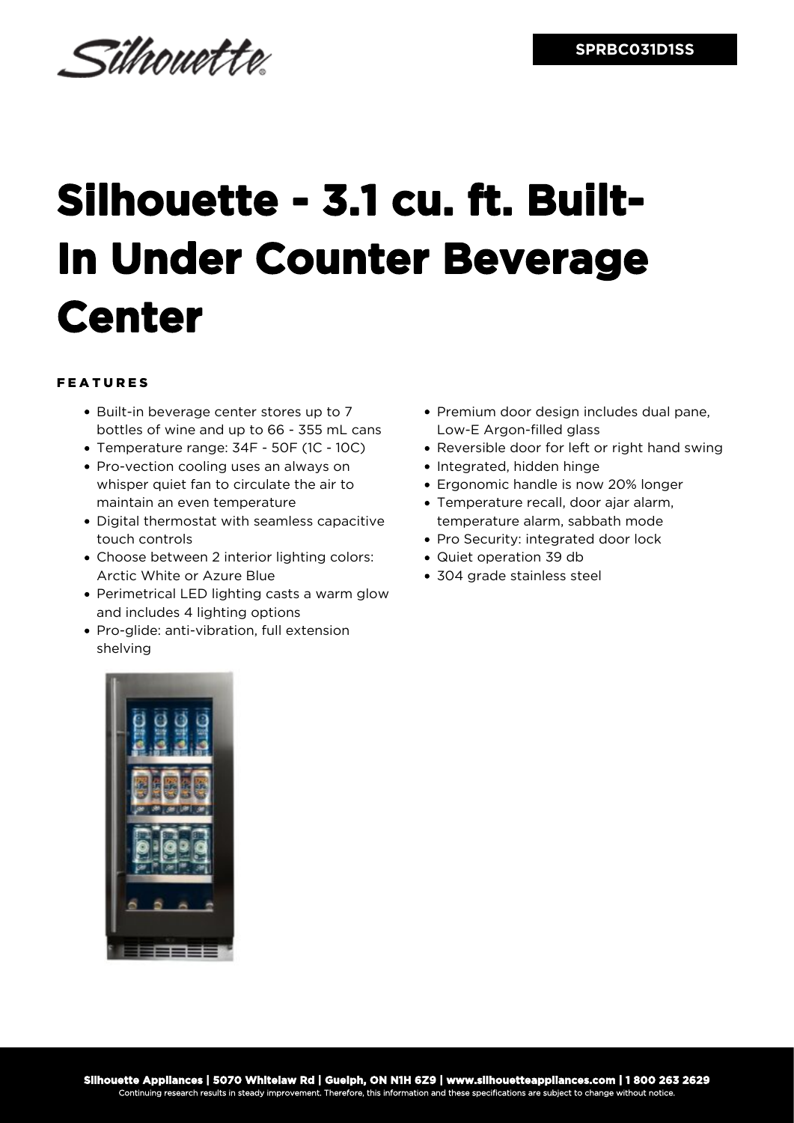

## **Silhouette - 3.1 cu. ft. Built-In Under Counter Beverage Center**

## FEATURES

- Built-in beverage center stores up to 7 bottles of wine and up to 66 - 355 mL cans
- Temperature range: 34F 50F (1C 10C)
- Pro-vection cooling uses an always on whisper quiet fan to circulate the air to maintain an even temperature
- Digital thermostat with seamless capacitive touch controls
- Choose between 2 interior lighting colors: Arctic White or Azure Blue
- Perimetrical LED lighting casts a warm glow and includes 4 lighting options
- Pro-glide: anti-vibration, full extension shelving
- Premium door design includes dual pane, Low-E Argon-filled glass
- Reversible door for left or right hand swing
- Integrated, hidden hinge
- Ergonomic handle is now 20% longer
- Temperature recall, door ajar alarm, temperature alarm, sabbath mode
- Pro Security: integrated door lock
- Quiet operation 39 db
- 304 grade stainless steel

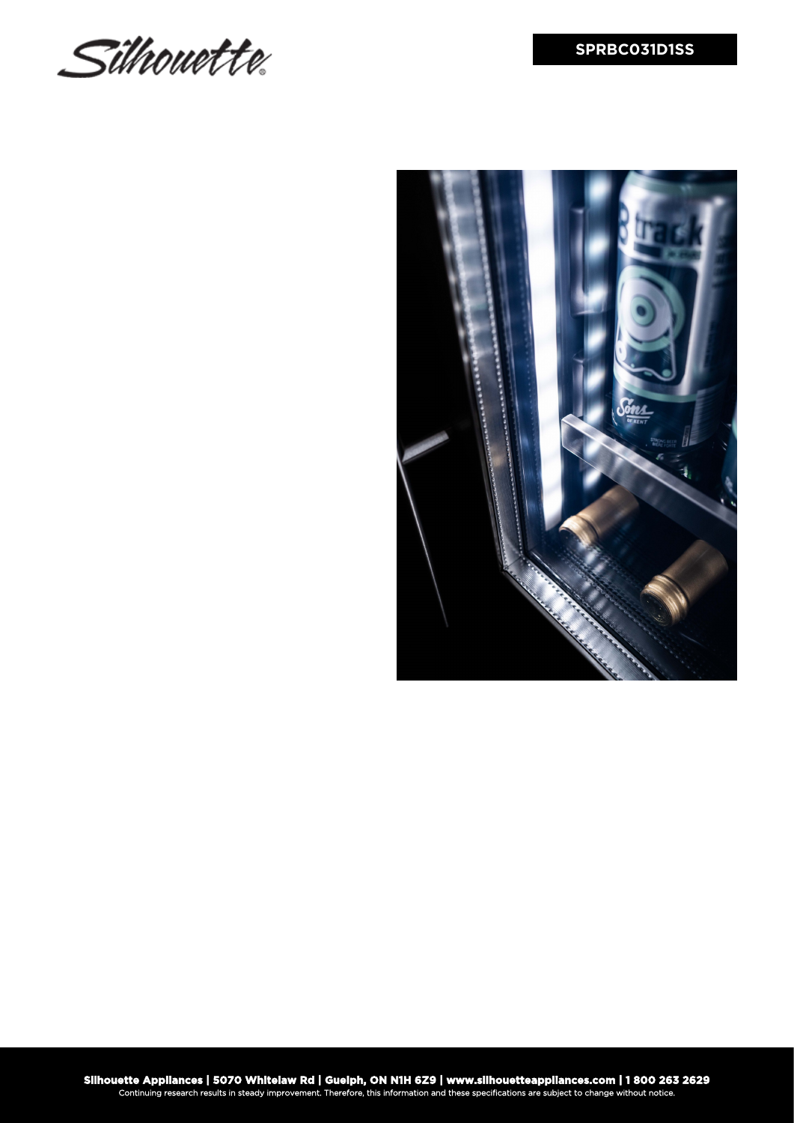